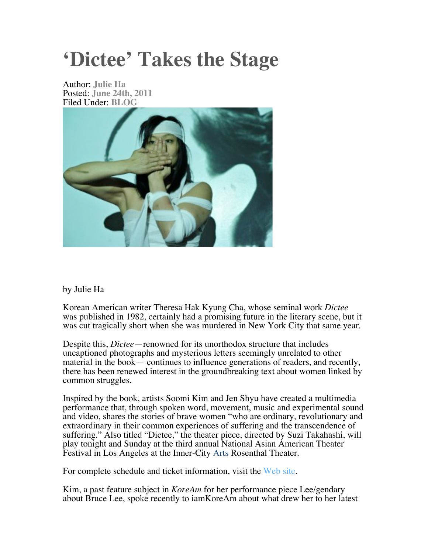# **'Dictee' Takes the Stage**

Author: **Julie Ha** Posted: **June 24th, 2011** Filed Under: **BLOG**



## by Julie Ha

Korean American writer Theresa Hak Kyung Cha, whose seminal work *Dictee* was published in 1982, certainly had a promising future in the literary scene, but it was cut tragically short when she was murdered in New York City that same year.

Despite this, *Dictee*—renowned for its unorthodox structure that includes uncaptioned photographs and mysterious letters seemingly unrelated to other material in the book— continues to influence generations of readers, and recently, there has been renewed interest in the groundbreaking text about women linked by common struggles.

Inspired by the book, artists Soomi Kim and Jen Shyu have created a multimedia performance that, through spoken word, movement, music and experimental sound and video, shares the stories of brave women "who are ordinary, revolutionary and extraordinary in their common experiences of suffering and the transcendence of suffering." Also titled "Dictee," the theater piece, directed by Suzi Takahashi, will play tonight and Sunday at the third annual National Asian American Theater Festival in Los Angeles at the Inner-City Arts Rosenthal Theater.

For complete schedule and ticket information, visit the Web site.

Kim, a past feature subject in *KoreAm* for her performance piece Lee/gendary about Bruce Lee, spoke recently to iamKoreAm about what drew her to her latest